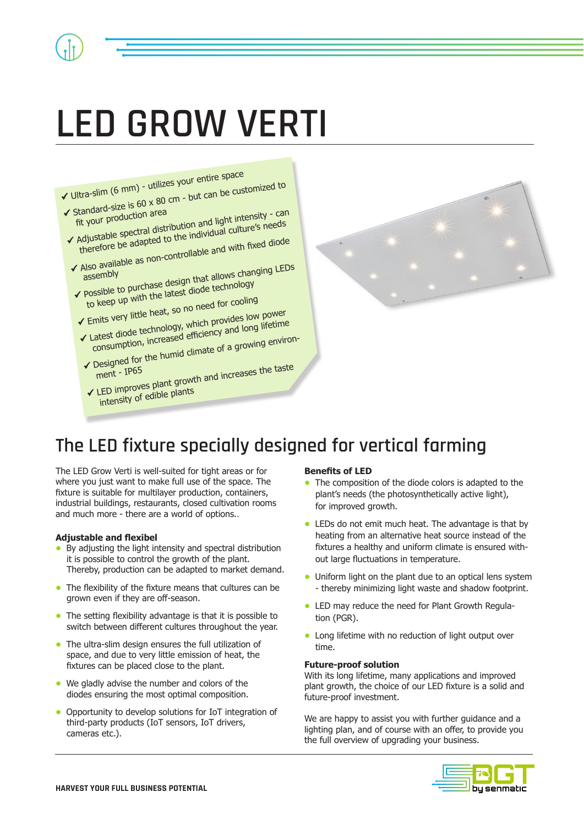# **LED GROW VERTI**





# **The LED fixture specially designed for vertical farming**

The LED Grow Verti is well-suited for tight areas or for where you just want to make full use of the space. The fixture is suitable for multilayer production, containers, industrial buildings, restaurants, closed cultivation rooms and much more - there are a world of options..

#### **Adjustable and flexibel**

- By adjusting the light intensity and spectral distribution it is possible to control the growth of the plant. Thereby, production can be adapted to market demand.
- The flexibility of the fixture means that cultures can be grown even if they are off-season.
- The setting flexibility advantage is that it is possible to switch between different cultures throughout the year.
- The ultra-slim design ensures the full utilization of space, and due to very little emission of heat, the fixtures can be placed close to the plant.
- **•** We gladly advise the number and colors of the diodes ensuring the most optimal composition.
- Opportunity to develop solutions for IoT integration of third-party products (IoT sensors, IoT drivers, cameras etc.).

#### **Benefits of LED**

- The composition of the diode colors is adapted to the plant's needs (the photosynthetically active light), for improved growth.
- LEDs do not emit much heat. The advantage is that by heating from an alternative heat source instead of the fixtures a healthy and uniform climate is ensured with out large fluctuations in temperature.
- Uniform light on the plant due to an optical lens system - thereby minimizing light waste and shadow footprint.
- LED may reduce the need for Plant Growth Regula tion (PGR).
- Long lifetime with no reduction of light output over time.

#### **Future-proof solution**

With its long lifetime, many applications and improved plant growth, the choice of our LED fixture is a solid and future-proof investment.

We are happy to assist you with further guidance and a lighting plan, and of course with an offer, to provide you the full overview of upgrading your business.